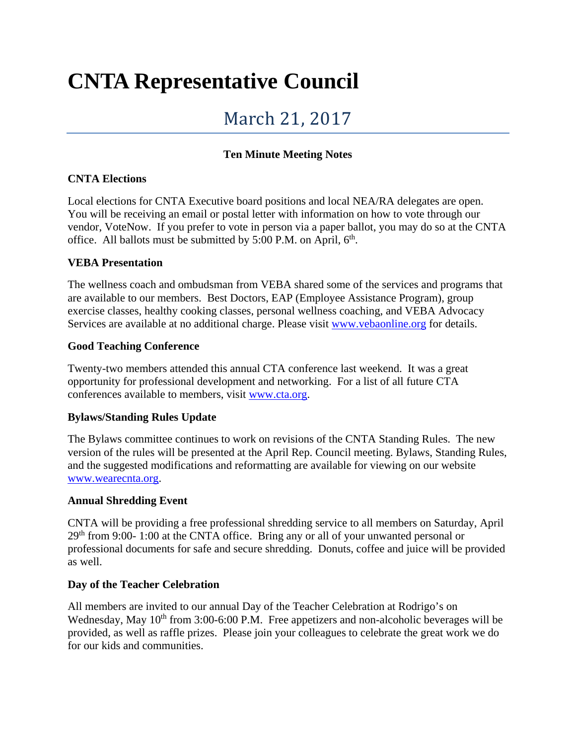# **CNTA Representative Council**

# March 21, 2017

# **Ten Minute Meeting Notes**

# **CNTA Elections**

Local elections for CNTA Executive board positions and local NEA/RA delegates are open. You will be receiving an email or postal letter with information on how to vote through our vendor, VoteNow. If you prefer to vote in person via a paper ballot, you may do so at the CNTA office. All ballots must be submitted by  $5:00$  P.M. on April,  $6<sup>th</sup>$ .

# **VEBA Presentation**

The wellness coach and ombudsman from VEBA shared some of the services and programs that are available to our members. Best Doctors, EAP (Employee Assistance Program), group exercise classes, healthy cooking classes, personal wellness coaching, and VEBA Advocacy Services are available at no additional charge. Please visit [www.vebaonline.org](http://www.vebaonline.org/) for details.

#### **Good Teaching Conference**

Twenty-two members attended this annual CTA conference last weekend. It was a great opportunity for professional development and networking. For a list of all future CTA conferences available to members, visit [www.cta.org.](http://www.cta.org/)

# **Bylaws/Standing Rules Update**

The Bylaws committee continues to work on revisions of the CNTA Standing Rules. The new version of the rules will be presented at the April Rep. Council meeting. Bylaws, Standing Rules, and the suggested modifications and reformatting are available for viewing on our website [www.wearecnta.org.](http://www.wearecnta.org/)

#### **Annual Shredding Event**

CNTA will be providing a free professional shredding service to all members on Saturday, April  $29<sup>th</sup>$  from 9:00- 1:00 at the CNTA office. Bring any or all of your unwanted personal or professional documents for safe and secure shredding. Donuts, coffee and juice will be provided as well.

# **Day of the Teacher Celebration**

All members are invited to our annual Day of the Teacher Celebration at Rodrigo's on Wednesday, May  $10<sup>th</sup>$  from 3:00-6:00 P.M. Free appetizers and non-alcoholic beverages will be provided, as well as raffle prizes. Please join your colleagues to celebrate the great work we do for our kids and communities.